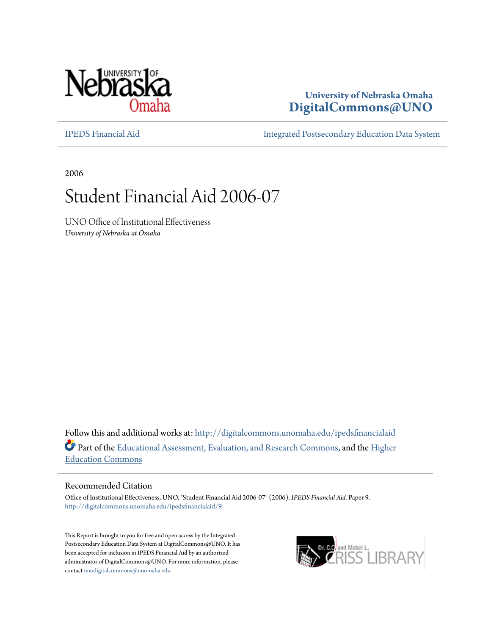

## **University of Nebraska Omaha [DigitalCommons@UNO](http://digitalcommons.unomaha.edu?utm_source=digitalcommons.unomaha.edu%2Fipedsfinancialaid%2F9&utm_medium=PDF&utm_campaign=PDFCoverPages)**

[IPEDS Financial Aid](http://digitalcommons.unomaha.edu/ipedsfinancialaid?utm_source=digitalcommons.unomaha.edu%2Fipedsfinancialaid%2F9&utm_medium=PDF&utm_campaign=PDFCoverPages) [Integrated Postsecondary Education Data System](http://digitalcommons.unomaha.edu/oieipeds?utm_source=digitalcommons.unomaha.edu%2Fipedsfinancialaid%2F9&utm_medium=PDF&utm_campaign=PDFCoverPages)

2006

# Student Financial Aid 2006-07

UNO Office of Institutional Effectiveness *University of Nebraska at Omaha*

Follow this and additional works at: [http://digitalcommons.unomaha.edu/ipedsfinancialaid](http://digitalcommons.unomaha.edu/ipedsfinancialaid?utm_source=digitalcommons.unomaha.edu%2Fipedsfinancialaid%2F9&utm_medium=PDF&utm_campaign=PDFCoverPages) Part of the [Educational Assessment, Evaluation, and Research Commons,](http://network.bepress.com/hgg/discipline/796?utm_source=digitalcommons.unomaha.edu%2Fipedsfinancialaid%2F9&utm_medium=PDF&utm_campaign=PDFCoverPages) and the [Higher](http://network.bepress.com/hgg/discipline/1245?utm_source=digitalcommons.unomaha.edu%2Fipedsfinancialaid%2F9&utm_medium=PDF&utm_campaign=PDFCoverPages) [Education Commons](http://network.bepress.com/hgg/discipline/1245?utm_source=digitalcommons.unomaha.edu%2Fipedsfinancialaid%2F9&utm_medium=PDF&utm_campaign=PDFCoverPages)

#### Recommended Citation

Office of Institutional Effectiveness, UNO, "Student Financial Aid 2006-07" (2006). *IPEDS Financial Aid.* Paper 9. [http://digitalcommons.unomaha.edu/ipedsfinancialaid/9](http://digitalcommons.unomaha.edu/ipedsfinancialaid/9?utm_source=digitalcommons.unomaha.edu%2Fipedsfinancialaid%2F9&utm_medium=PDF&utm_campaign=PDFCoverPages)

This Report is brought to you for free and open access by the Integrated Postsecondary Education Data System at DigitalCommons@UNO. It has been accepted for inclusion in IPEDS Financial Aid by an authorized administrator of DigitalCommons@UNO. For more information, please contact [unodigitalcommons@unomaha.edu.](mailto:unodigitalcommons@unomaha.edu)

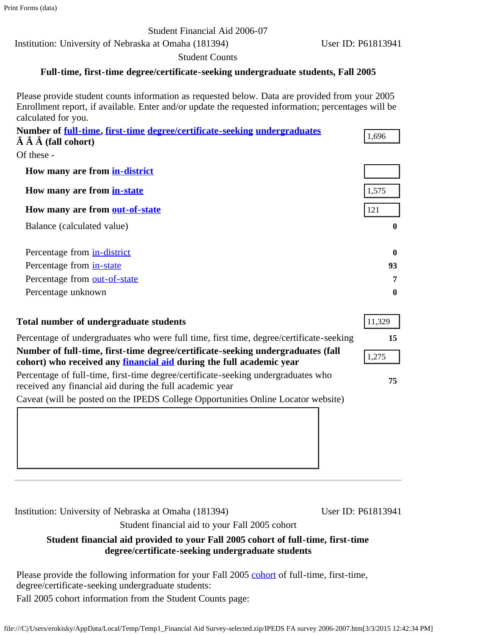Student Financial Aid 2006-07

Institution: University of Nebraska at Omaha (181394) User ID: P61813941

Student Counts

#### **Full-time, first-time degree/certificate-seeking undergraduate students, Fall 2005**

Please provide student counts information as requested below. Data are provided from your 2005 Enrollment report, if available. Enter and/or update the requested information; percentages will be calculated for you.

| Number of full-time, first-time degree/certificate-seeking undergraduates<br>$\hat{A} \hat{A} \hat{A}$ (fall cohort)                                    | 1,696        |
|---------------------------------------------------------------------------------------------------------------------------------------------------------|--------------|
| Of these -                                                                                                                                              |              |
| How many are from in-district                                                                                                                           |              |
| How many are from in-state                                                                                                                              | 1,575        |
| How many are from out-of-state                                                                                                                          | 121          |
| Balance (calculated value)                                                                                                                              | $\mathbf{0}$ |
| Percentage from in-district                                                                                                                             | $\bf{0}$     |
| Percentage from in-state                                                                                                                                | 93           |
| Percentage from out-of-state                                                                                                                            | 7            |
| Percentage unknown                                                                                                                                      | $\bf{0}$     |
| Total number of undergraduate students                                                                                                                  | 11,329       |
| Percentage of undergraduates who were full time, first time, degree/certificate-seeking                                                                 | 15           |
| Number of full-time, first-time degree/certificate-seeking undergraduates (fall<br>cohort) who received any financial aid during the full academic year | 1,275        |
| Percentage of full-time, first-time degree/certificate-seeking undergraduates who<br>received any financial aid during the full academic year           | 75           |
| Caveat (will be posted on the IPEDS College Opportunities Online Locator website)                                                                       |              |
|                                                                                                                                                         |              |

Institution: University of Nebraska at Omaha (181394) User ID: P61813941

Student financial aid to your Fall 2005 cohort

#### **Student financial aid provided to your Fall 2005 cohort of full-time, first-time degree/certificate-seeking undergraduate students**

Please provide the following information for your Fall 2005 [cohort](javascript:openglossary(119)) of full-time, first-time, degree/certificate-seeking undergraduate students:

Fall 2005 cohort information from the Student Counts page: